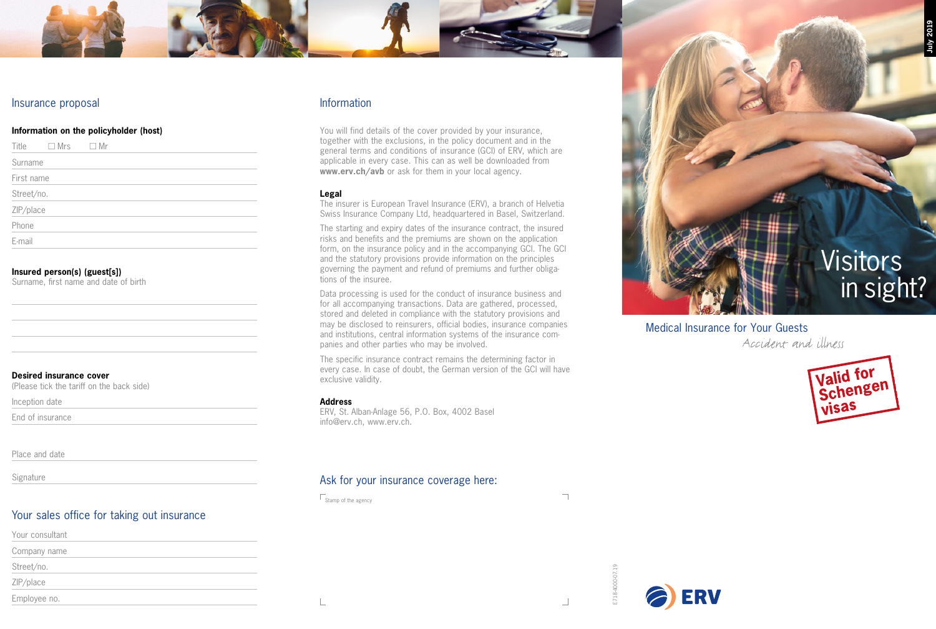## Insurance proposal

## **Information on the policyholder (host)**

| Title      | $\Box$ Mrs | □ Mr |  |  |  |
|------------|------------|------|--|--|--|
| Surname    |            |      |  |  |  |
| First name |            |      |  |  |  |
| Street/no. |            |      |  |  |  |
| ZIP/place  |            |      |  |  |  |
| Phone      |            |      |  |  |  |
| E-mail     |            |      |  |  |  |

## **Insured person(s) (guest[s])**

Surname, first name and date of birth

## **Desired insurance cover**

(Please tick the tariff on the back side)

Inception date

End of insurance

Place and date

Signature

# Your sales office for taking out insurance

| Your consultant |  |  |
|-----------------|--|--|
| Company name    |  |  |
| Street/no.      |  |  |
| ZIP/place       |  |  |
| Employee no.    |  |  |

## Information

You will find details of the cover provided by your insurance, together with the exclusions, in the policy document and in the general terms and conditions of insurance (GCI) of ERV, which are applicable in every case. This can as well be downloaded from **www.erv.ch/avb** or ask for them in your local agency.

## **Legal**

The insurer is European Travel Insurance (ERV), a branch of Helvetia Swiss Insurance Company Ltd, headquartered in Basel, Switzerland.

The starting and expiry dates of the insurance contract, the insured risks and benefits and the premiums are shown on the application form, on the insurance policy and in the accompanying GCI. The GCI and the statutory provisions provide information on the principles governing the payment and refund of premiums and further obligations of the insuree.

Data processing is used for the conduct of insurance business and for all accompanying transactions. Data are gathered, processed, stored and deleted in compliance with the statutory provisions and may be disclosed to reinsurers, official bodies, insurance companies and institutions, central information systems of the insurance companies and other parties who may be involved.

The specific insurance contract remains the determining factor in every case. In case of doubt, the German version of the GCI will have exclusive validity.

## **Address**

ERV, St. Alban-Anlage 56, P.O. Box, 4002 Basel info@erv.ch, www.erv.ch.

# Ask for your insurance coverage here:

 $\Gamma$ Stamp of the agency

 $\overline{\mathbb{L}}$ 

 $\overline{\phantom{a}}$ 

E718-4000-07.19 E718-4000-07.19





**July 2019**

# in sight?

Medical Insurance for Your Guests

Accident and illness